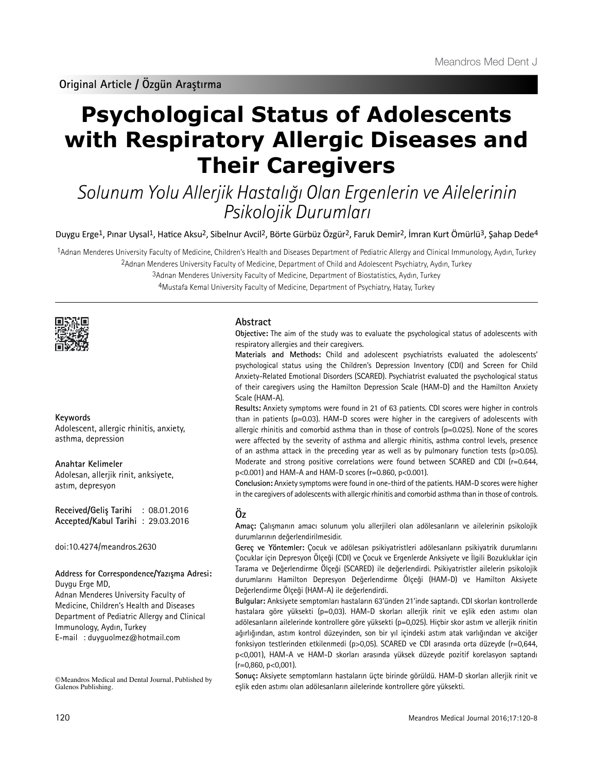# **Psychological Status of Adolescents with Respiratory Allergic Diseases and Their Caregivers**

Solunum Yolu Allerjik Hastalığı Olan Ergenlerin ve Ailelerinin Psikolojik Durumları

Duygu Erge<sup>1</sup>, Pınar Uysal<sup>1</sup>, Hatice Aksu<sup>2</sup>, Sibelnur Avcil<sup>2</sup>, Börte Gürbüz Özgür<sup>2</sup>, Faruk Demir<sup>2</sup>, İmran Kurt Ömürlü<sup>3</sup>, Şahap Dede<sup>4</sup>

1Adnan Menderes University Faculty of Medicine, Children's Health and Diseases Department of Pediatric Allergy and Clinical Immunology, Aydın, Turkey 2Adnan Menderes University Faculty of Medicine, Department of Child and Adolescent Psychiatry, Aydın, Turkey

3Adnan Menderes University Faculty of Medicine, Department of Biostatistics, Aydın, Turkey

4Mustafa Kemal University Faculty of Medicine, Department of Psychiatry, Hatay, Turkey



# **Keywords**

Adolescent, allergic rhinitis, anxiety, asthma, depression

## **Anahtar Kelimeler**

Adolesan, allerjik rinit, anksiyete, astım, depresyon

**Received/Geliş Tarihi** : 08.01.2016 **Accepted/Kabul Tarihi** : 29.03.2016

doi:10.4274/meandros.2630

#### **Address for Correspondence/Yazışma Adresi:** Duygu Erge MD,

Adnan Menderes University Faculty of Medicine, Children's Health and Diseases Department of Pediatric Allergy and Clinical Immunology, Aydın, Turkey E-mail : duyguolmez@hotmail.com

©Meandros Medical and Dental Journal, Published by Galenos Publishing.

# **Abstract**

**Objective:** The aim of the study was to evaluate the psychological status of adolescents with respiratory allergies and their caregivers.

**Materials and Methods:** Child and adolescent psychiatrists evaluated the adolescents' psychological status using the Children's Depression Inventory (CDI) and Screen for Child Anxiety-Related Emotional Disorders (SCARED). Psychiatrist evaluated the psychological status of their caregivers using the Hamilton Depression Scale (HAM-D) and the Hamilton Anxiety Scale (HAM-A).

**Results:** Anxiety symptoms were found in 21 of 63 patients. CDI scores were higher in controls than in patients ( $p=0.03$ ). HAM-D scores were higher in the caregivers of adolescents with allergic rhinitis and comorbid asthma than in those of controls ( $p=0.025$ ). None of the scores were affected by the severity of asthma and allergic rhinitis, asthma control levels, presence of an asthma attack in the preceding year as well as by pulmonary function tests ( $p > 0.05$ ). Moderate and strong positive correlations were found between SCARED and CDI (r=0.644, p<0.001) and HAM-A and HAM-D scores (r=0.860, p<0.001).

**Conclusion:** Anxiety symptoms were found in one-third of the patients. HAM-D scores were higher in the caregivers of adolescents with allergic rhinitis and comorbid asthma than in those of controls.

# **Öz**

**Amaç:** Çalışmanın amacı solunum yolu allerjileri olan adölesanların ve ailelerinin psikolojik durumlarının değerlendirilmesidir.

**Gereç ve Yöntemler:** Çocuk ve adölesan psikiyatristleri adölesanların psikiyatrik durumlarını Çocuklar için Depresyon Ölçeği (CDI) ve Çocuk ve Ergenlerde Anksiyete ve İlgili Bozukluklar için Tarama ve Değerlendirme Ölçeği (SCARED) ile değerlendirdi. Psikiyatristler ailelerin psikolojik durumlarını Hamilton Depresyon Değerlendirme Ölçeği (HAM-D) ve Hamilton Aksiyete Değerlendirme Ölçeği (HAM-A) ile değerlendirdi.

**Bulgular:** Anksiyete semptomları hastaların 63'ünden 21'inde saptandı. CDI skorları kontrollerde hastalara göre yüksekti (p=0,03). HAM-D skorları allerjik rinit ve eşlik eden astımı olan adölesanların ailelerinde kontrollere göre yüksekti (p=0,025). Hiçbir skor astım ve allerjik rinitin ağırlığından, astım kontrol düzeyinden, son bir yıl içindeki astım atak varlığından ve akciğer fonksiyon testlerinden etkilenmedi (p>0,05). SCARED ve CDI arasında orta düzeyde (r=0,644, p<0,001), HAM-A ve HAM-D skorları arasında yüksek düzeyde pozitif korelasyon saptandı  $(r=0.860, p<0.001)$ .

**Sonuç:** Aksiyete semptomların hastaların üçte birinde görüldü. HAM-D skorları allerjik rinit ve eşlik eden astımı olan adölesanların ailelerinde kontrollere göre yüksekti.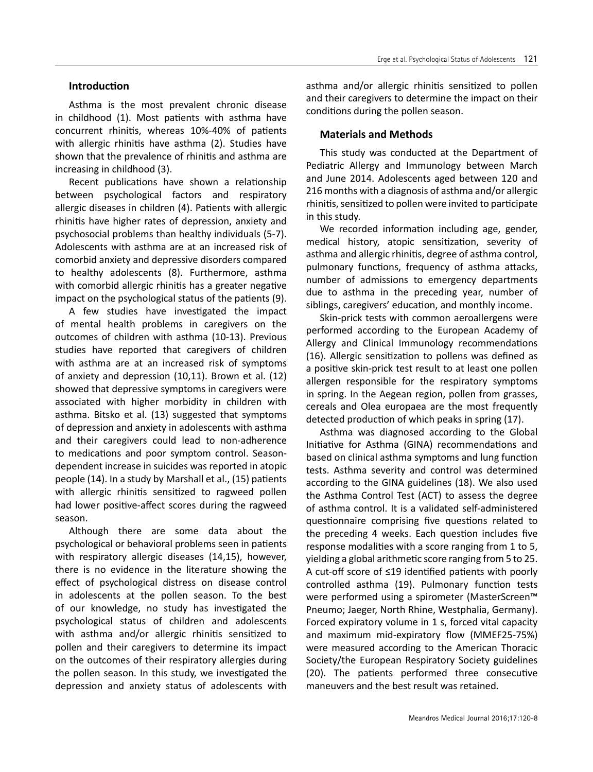# **Introduction**

Asthma is the most prevalent chronic disease in childhood (1). Most patients with asthma have concurrent rhinitis, whereas 10%-40% of patients with allergic rhinitis have asthma (2). Studies have shown that the prevalence of rhinitis and asthma are increasing in childhood (3).

Recent publications have shown a relationship between psychological factors and respiratory allergic diseases in children (4). Patients with allergic rhinitis have higher rates of depression, anxiety and psychosocial problems than healthy individuals (5-7). Adolescents with asthma are at an increased risk of comorbid anxiety and depressive disorders compared to healthy adolescents (8). Furthermore, asthma with comorbid allergic rhinitis has a greater negative impact on the psychological status of the patients (9).

A few studies have investigated the impact of mental health problems in caregivers on the outcomes of children with asthma (10-13). Previous studies have reported that caregivers of children with asthma are at an increased risk of symptoms of anxiety and depression (10,11). Brown et al. (12) showed that depressive symptoms in caregivers were associated with higher morbidity in children with asthma. Bitsko et al. (13) suggested that symptoms of depression and anxiety in adolescents with asthma and their caregivers could lead to non-adherence to medications and poor symptom control. Seasondependent increase in suicides was reported in atopic people (14). In a study by Marshall et al., (15) patients with allergic rhinitis sensitized to ragweed pollen had lower positive-affect scores during the ragweed season.

Although there are some data about the psychological or behavioral problems seen in patients with respiratory allergic diseases (14,15), however, there is no evidence in the literature showing the effect of psychological distress on disease control in adolescents at the pollen season. To the best of our knowledge, no study has investigated the psychological status of children and adolescents with asthma and/or allergic rhinitis sensitized to pollen and their caregivers to determine its impact on the outcomes of their respiratory allergies during the pollen season. In this study, we investigated the depression and anxiety status of adolescents with

asthma and/or allergic rhinitis sensitized to pollen and their caregivers to determine the impact on their conditions during the pollen season.

# **Materials and Methods**

This study was conducted at the Department of Pediatric Allergy and Immunology between March and June 2014. Adolescents aged between 120 and 216 months with a diagnosis of asthma and/or allergic rhinitis, sensitized to pollen were invited to participate in this study.

We recorded information including age, gender, medical history, atopic sensitization, severity of asthma and allergic rhinitis, degree of asthma control, pulmonary functions, frequency of asthma attacks, number of admissions to emergency departments due to asthma in the preceding year, number of siblings, caregivers' education, and monthly income.

Skin-prick tests with common aeroallergens were performed according to the European Academy of Allergy and Clinical Immunology recommendations (16). Allergic sensitization to pollens was defined as a positive skin-prick test result to at least one pollen allergen responsible for the respiratory symptoms in spring. In the Aegean region, pollen from grasses, cereals and Olea europaea are the most frequently detected production of which peaks in spring (17).

Asthma was diagnosed according to the Global Initiative for Asthma (GINA) recommendations and based on clinical asthma symptoms and lung function tests. Asthma severity and control was determined according to the GINA guidelines (18). We also used the Asthma Control Test (ACT) to assess the degree of asthma control. It is a validated self-administered questionnaire comprising five questions related to the preceding 4 weeks. Each question includes five response modalities with a score ranging from 1 to 5, yielding a global arithmetic score ranging from 5 to 25. A cut-off score of ≤19 identified patients with poorly controlled asthma (19). Pulmonary function tests were performed using a spirometer (MasterScreen<sup>™</sup> Pneumo; Jaeger, North Rhine, Westphalia, Germany). Forced expiratory volume in 1 s, forced vital capacity and maximum mid-expiratory flow (MMEF25-75%) were measured according to the American Thoracic Society/the European Respiratory Society guidelines (20). The patients performed three consecutive maneuvers and the best result was retained.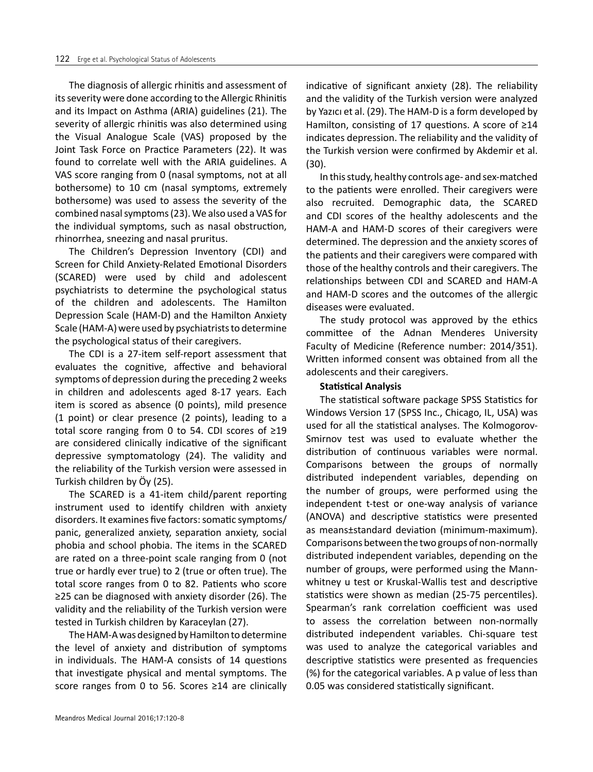The diagnosis of allergic rhinitis and assessment of its severity were done according to the Allergic Rhinitis and its Impact on Asthma (ARIA) guidelines (21). The severity of allergic rhinitis was also determined using the Visual Analogue Scale (VAS) proposed by the Joint Task Force on Practice Parameters (22). It was found to correlate well with the ARIA guidelines. A VAS score ranging from 0 (nasal symptoms, not at all bothersome) to 10 cm (nasal symptoms, extremely bothersome) was used to assess the severity of the combined nasal symptoms (23). We also used a VAS for the individual symptoms, such as nasal obstruction, rhinorrhea, sneezing and nasal pruritus.

The Children's Depression Inventory (CDI) and Screen for Child Anxiety-Related Emotional Disorders (SCARED) were used by child and adolescent psychiatrists to determine the psychological status of the children and adolescents. The Hamilton Depression Scale (HAM-D) and the Hamilton Anxiety Scale (HAM-A) were used by psychiatrists to determine the psychological status of their caregivers.

The CDI is a 27-item self-report assessment that evaluates the cognitive, affective and behavioral symptoms of depression during the preceding 2 weeks in children and adolescents aged 8-17 years. Each item is scored as absence (0 points), mild presence (1 point) or clear presence (2 points), leading to a total score ranging from 0 to 54. CDI scores of ≥19 are considered clinically indicative of the significant depressive symptomatology (24). The validity and the reliability of the Turkish version were assessed in Turkish children by Öy (25).

The SCARED is a 41-item child/parent reporting instrument used to identify children with anxiety disorders. It examines five factors: somatic symptoms/ panic, generalized anxiety, separation anxiety, social phobia and school phobia. The items in the SCARED are rated on a three-point scale ranging from 0 (not true or hardly ever true) to 2 (true or often true). The total score ranges from 0 to 82. Patients who score ≥25 can be diagnosed with anxiety disorder (26). The validity and the reliability of the Turkish version were tested in Turkish children by Karaceylan (27).

The HAM-A was designed by Hamilton to determine the level of anxiety and distribution of symptoms in individuals. The HAM-A consists of 14 questions that investigate physical and mental symptoms. The score ranges from 0 to 56. Scores ≥14 are clinically

Meandros Medical Journal 2016;17:120-8

indicative of significant anxiety (28). The reliability and the validity of the Turkish version were analyzed by Yazıcı et al. (29). The HAM-D is a form developed by Hamilton, consisting of 17 questions. A score of ≥14 indicates depression. The reliability and the validity of the Turkish version were confirmed by Akdemir et al. (30).

In this study, healthy controls age- and sex-matched to the patients were enrolled. Their caregivers were also recruited. Demographic data, the SCARED and CDI scores of the healthy adolescents and the HAM-A and HAM-D scores of their caregivers were determined. The depression and the anxiety scores of the patients and their caregivers were compared with those of the healthy controls and their caregivers. The relationships between CDI and SCARED and HAM-A and HAM-D scores and the outcomes of the allergic diseases were evaluated.

The study protocol was approved by the ethics committee of the Adnan Menderes University Faculty of Medicine (Reference number: 2014/351). Written informed consent was obtained from all the adolescents and their caregivers.

#### **Statistical Analysis**

The statistical software package SPSS Statistics for Windows Version 17 (SPSS Inc., Chicago, IL, USA) was used for all the statistical analyses. The Kolmogorov-Smirnov test was used to evaluate whether the distribution of continuous variables were normal. Comparisons between the groups of normally distributed independent variables, depending on the number of groups, were performed using the independent t-test or one-way analysis of variance (ANOVA) and descriptive statistics were presented as means±standard deviation (minimum-maximum). Comparisons between the two groups of non-normally distributed independent variables, depending on the number of groups, were performed using the Mannwhitney u test or Kruskal-Wallis test and descriptive statistics were shown as median (25-75 percentiles). Spearman's rank correlation coefficient was used to assess the correlation between non-normally distributed independent variables. Chi-square test was used to analyze the categorical variables and descriptive statistics were presented as frequencies (%) for the categorical variables. A p value of less than 0.05 was considered statistically significant.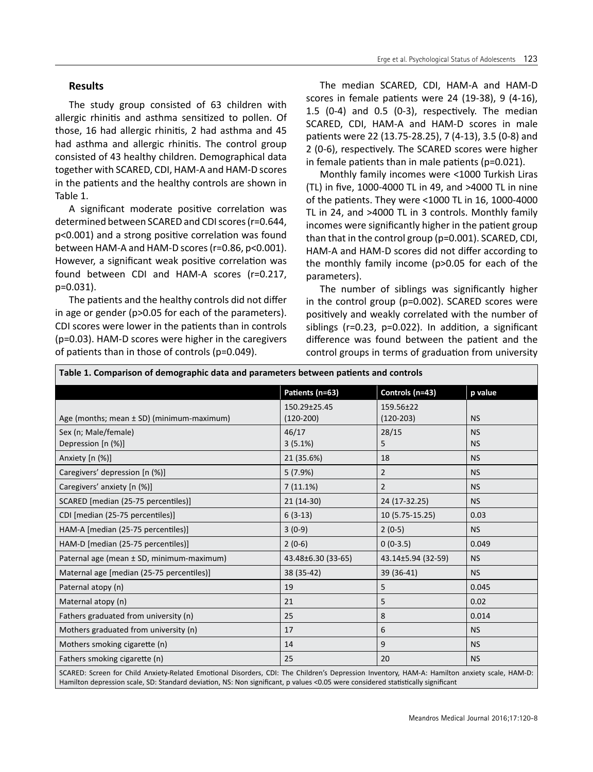## **Results**

The study group consisted of 63 children with allergic rhinitis and asthma sensitized to pollen. Of those, 16 had allergic rhinitis, 2 had asthma and 45 had asthma and allergic rhinitis. The control group consisted of 43 healthy children. Demographical data together with SCARED, CDI, HAM-A and HAM-D scores in the patients and the healthy controls are shown in Table 1.

A significant moderate positive correlation was determined between SCARED and CDI scores (r=0.644, p<0.001) and a strong positive correlation was found between HAM-A and HAM-D scores (r=0.86, p<0.001). However, a significant weak positive correlation was found between CDI and HAM-A scores (r=0.217, p=0.031).

The patients and the healthy controls did not differ in age or gender (p>0.05 for each of the parameters). CDI scores were lower in the patients than in controls (p=0.03). HAM-D scores were higher in the caregivers of patients than in those of controls (p=0.049).

The median SCARED, CDI, HAM-A and HAM-D scores in female patients were 24 (19-38), 9 (4-16), 1.5 (0-4) and 0.5 (0-3), respectively. The median SCARED, CDI, HAM-A and HAM-D scores in male patients were 22 (13.75-28.25), 7 (4-13), 3.5 (0-8) and 2 (0-6), respectively. The SCARED scores were higher in female patients than in male patients (p=0.021).

Monthly family incomes were <1000 Turkish Liras (TL) in five, 1000-4000 TL in 49, and >4000 TL in nine of the patients. They were <1000 TL in 16, 1000-4000 TL in 24, and >4000 TL in 3 controls. Monthly family incomes were significantly higher in the patient group than that in the control group (p=0.001). SCARED, CDI, HAM-A and HAM-D scores did not differ according to the monthly family income (p>0.05 for each of the parameters).

The number of siblings was significantly higher in the control group (p=0.002). SCARED scores were positively and weakly correlated with the number of siblings (r=0.23, p=0.022). In addition, a significant difference was found between the patient and the control groups in terms of graduation from university

| Table 1. Comparison of demographic data and parameters between patients and controls                                                          |                    |                    |           |  |
|-----------------------------------------------------------------------------------------------------------------------------------------------|--------------------|--------------------|-----------|--|
|                                                                                                                                               | Patients (n=63)    | Controls (n=43)    | p value   |  |
|                                                                                                                                               | 150.29±25.45       | 159.56±22          |           |  |
| Age (months; mean $\pm$ SD) (minimum-maximum)                                                                                                 | $(120-200)$        | $(120-203)$        | <b>NS</b> |  |
| Sex (n; Male/female)                                                                                                                          | 46/17              | 28/15              | <b>NS</b> |  |
| Depression [n (%)]                                                                                                                            | 3(5.1%)            | 5                  | <b>NS</b> |  |
| Anxiety [n (%)]                                                                                                                               | 21 (35.6%)         | 18                 | <b>NS</b> |  |
| Caregivers' depression [n (%)]                                                                                                                | 5(7.9%)            | $\overline{2}$     | <b>NS</b> |  |
| Caregivers' anxiety [n (%)]                                                                                                                   | $7(11.1\%)$        | $\overline{2}$     | <b>NS</b> |  |
| SCARED [median (25-75 percentiles)]                                                                                                           | $21(14-30)$        | 24 (17-32.25)      | <b>NS</b> |  |
| CDI [median (25-75 percentiles)]                                                                                                              | $6(3-13)$          | 10 (5.75-15.25)    | 0.03      |  |
| HAM-A [median (25-75 percentiles)]                                                                                                            | $3(0-9)$           | $2(0-5)$           | <b>NS</b> |  |
| HAM-D [median (25-75 percentiles)]                                                                                                            | $2(0-6)$           | $0(0-3.5)$         | 0.049     |  |
| Paternal age (mean ± SD, minimum-maximum)                                                                                                     | 43.48±6.30 (33-65) | 43.14±5.94 (32-59) | <b>NS</b> |  |
| Maternal age [median (25-75 percentiles)]                                                                                                     | 38 (35-42)         | 39 (36-41)         | <b>NS</b> |  |
| Paternal atopy (n)                                                                                                                            | 19                 | 5                  | 0.045     |  |
| Maternal atopy (n)                                                                                                                            | 21                 | 5                  | 0.02      |  |
| Fathers graduated from university (n)                                                                                                         | 25                 | 8                  | 0.014     |  |
| Mothers graduated from university (n)                                                                                                         | 17                 | 6                  | <b>NS</b> |  |
| Mothers smoking cigarette (n)                                                                                                                 | 14                 | 9                  | <b>NS</b> |  |
| Fathers smoking cigarette (n)                                                                                                                 | 25                 | 20                 | <b>NS</b> |  |
| SCARED: Screen for Child Anxiety-Related Emotional Disorders, CDI: The Children's Depression Inventory, HAM-A: Hamilton anxiety scale, HAM-D: |                    |                    |           |  |

Hamilton depression scale, SD: Standard deviation, NS: Non significant, p values <0.05 were considered statistically significant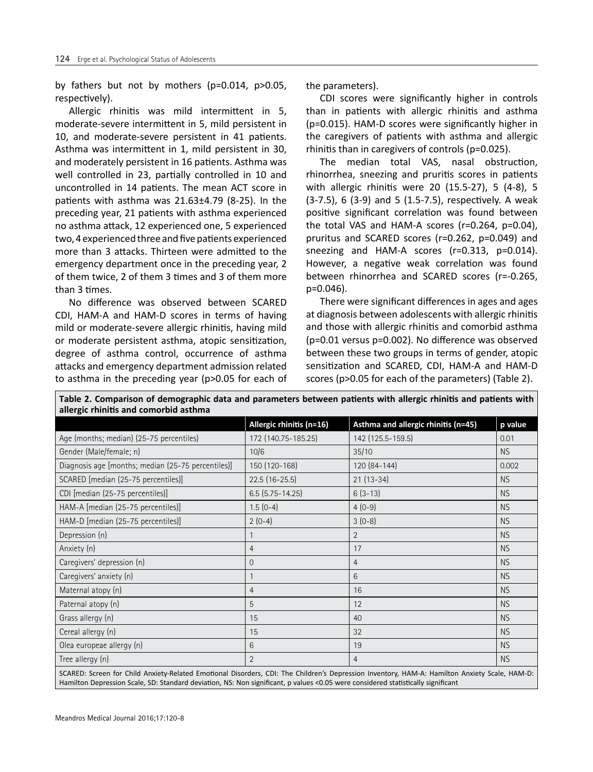by fathers but not by mothers (p=0.014, p>0.05, respectively).

Allergic rhinitis was mild intermittent in 5, moderate-severe intermittent in 5, mild persistent in 10, and moderate-severe persistent in 41 patients. Asthma was intermittent in 1, mild persistent in 30, and moderately persistent in 16 patients. Asthma was well controlled in 23, partially controlled in 10 and uncontrolled in 14 patients. The mean ACT score in patients with asthma was  $21.63\pm4.79$  (8-25). In the preceding year, 21 patients with asthma experienced no asthma attack, 12 experienced one, 5 experienced two, 4 experienced three and five patients experienced more than 3 attacks. Thirteen were admitted to the emergency department once in the preceding year, 2 of them twice, 2 of them 3 times and 3 of them more than 3 times.

No difference was observed between SCARED CDI, HAM-A and HAM-D scores in terms of having mild or moderate-severe allergic rhinitis, having mild or moderate persistent asthma, atopic sensitization, degree of asthma control, occurrence of asthma attacks and emergency department admission related to asthma in the preceding year (p>0.05 for each of

**allergic rhinitis and comorbid asthma**

the parameters).

CDI scores were significantly higher in controls than in patients with allergic rhinitis and asthma (p=0.015). HAM-D scores were significantly higher in the caregivers of patients with asthma and allergic rhinitis than in caregivers of controls (p=0.025).

The median total VAS, nasal obstruction, rhinorrhea, sneezing and pruritis scores in patients with allergic rhinitis were 20 (15.5-27), 5 (4-8), 5 (3-7.5), 6 (3-9) and 5 (1.5-7.5), respectively. A weak positive significant correlation was found between the total VAS and HAM-A scores (r=0.264, p=0.04), pruritus and SCARED scores (r=0.262, p=0.049) and sneezing and HAM-A scores (r=0.313, p=0.014). However, a negative weak correlation was found between rhinorrhea and SCARED scores (r=-0.265, p=0.046).

There were significant differences in ages and ages at diagnosis between adolescents with allergic rhinitis and those with allergic rhinitis and comorbid asthma (p=0.01 versus p=0.002). No difference was observed between these two groups in terms of gender, atopic sensitization and SCARED, CDI, HAM-A and HAM-D scores (p>0.05 for each of the parameters) (Table 2).

| allergic millitus and comorbid astrona |                                     |           |  |  |  |
|----------------------------------------|-------------------------------------|-----------|--|--|--|
| Allergic rhinitis (n=16)               | Asthma and allergic rhinitis (n=45) | p value   |  |  |  |
| 172 (140.75-185.25)                    | 142 (125.5-159.5)                   | 0.01      |  |  |  |
| 10/6                                   | 35/10                               | <b>NS</b> |  |  |  |
| 150 (120-168)                          | 120 (84-144)                        | 0.002     |  |  |  |
| $22.5(16-25.5)$                        | $21(13-34)$                         | <b>NS</b> |  |  |  |
| $6.5$ $(5.75 - 14.25)$                 | $6(3-13)$                           | <b>NS</b> |  |  |  |
| $1.5(0-4)$                             | $4(0-9)$                            | <b>NS</b> |  |  |  |
| $2(0-4)$                               | $3(0-8)$                            | <b>NS</b> |  |  |  |
|                                        | $\overline{2}$                      | <b>NS</b> |  |  |  |
| $\overline{4}$                         | 17                                  | <b>NS</b> |  |  |  |
| $\mathbf 0$                            | $\overline{4}$                      | <b>NS</b> |  |  |  |
| 1                                      | 6                                   | <b>NS</b> |  |  |  |
| 4                                      | 16                                  | <b>NS</b> |  |  |  |
| 5                                      | 12                                  | <b>NS</b> |  |  |  |
| 15                                     | 40                                  | <b>NS</b> |  |  |  |
| 15                                     | 32                                  | <b>NS</b> |  |  |  |
| 6                                      | 19                                  | <b>NS</b> |  |  |  |
| $\overline{2}$                         | $\overline{4}$                      | <b>NS</b> |  |  |  |
|                                        |                                     |           |  |  |  |

**Table 2. Comparison of demographic data and parameters between patients with allergic rhinitis and patients with** 

SCARED: Screen for Child Anxiety-Related Emotional Disorders, CDI: The Children's Depression Inventory, HAM-A: Hamilton Anxiety Scale, HAM-D: Hamilton Depression Scale, SD: Standard deviation, NS: Non significant, p values <0.05 were considered statistically significant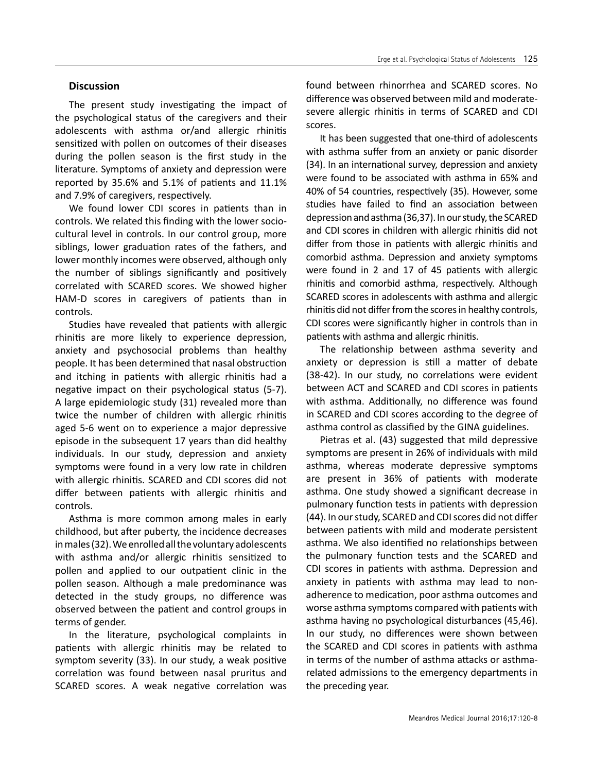# **Discussion**

The present study investigating the impact of the psychological status of the caregivers and their adolescents with asthma or/and allergic rhinitis sensitized with pollen on outcomes of their diseases during the pollen season is the first study in the literature. Symptoms of anxiety and depression were reported by 35.6% and 5.1% of patients and 11.1% and 7.9% of caregivers, respectively.

We found lower CDI scores in patients than in controls. We related this finding with the lower sociocultural level in controls. In our control group, more siblings, lower graduation rates of the fathers, and lower monthly incomes were observed, although only the number of siblings significantly and positively correlated with SCARED scores. We showed higher HAM-D scores in caregivers of patients than in controls.

Studies have revealed that patients with allergic rhinitis are more likely to experience depression, anxiety and psychosocial problems than healthy people. It has been determined that nasal obstruction and itching in patients with allergic rhinitis had a negative impact on their psychological status (5-7). A large epidemiologic study (31) revealed more than twice the number of children with allergic rhinitis aged 5-6 went on to experience a major depressive episode in the subsequent 17 years than did healthy individuals. In our study, depression and anxiety symptoms were found in a very low rate in children with allergic rhinitis. SCARED and CDI scores did not differ between patients with allergic rhinitis and controls.

Asthma is more common among males in early childhood, but after puberty, the incidence decreases in males (32). We enrolled all the voluntary adolescents with asthma and/or allergic rhinitis sensitized to pollen and applied to our outpatient clinic in the pollen season. Although a male predominance was detected in the study groups, no difference was observed between the patient and control groups in terms of gender.

In the literature, psychological complaints in patients with allergic rhinitis may be related to symptom severity (33). In our study, a weak positive correlation was found between nasal pruritus and SCARED scores. A weak negative correlation was

found between rhinorrhea and SCARED scores. No difference was observed between mild and moderatesevere allergic rhinitis in terms of SCARED and CDI scores.

It has been suggested that one-third of adolescents with asthma suffer from an anxiety or panic disorder (34). In an international survey, depression and anxiety were found to be associated with asthma in 65% and 40% of 54 countries, respectively (35). However, some studies have failed to find an association between depression and asthma (36,37). In our study, the SCARED and CDI scores in children with allergic rhinitis did not differ from those in patients with allergic rhinitis and comorbid asthma. Depression and anxiety symptoms were found in 2 and 17 of 45 patients with allergic rhinitis and comorbid asthma, respectively. Although SCARED scores in adolescents with asthma and allergic rhinitis did not differ from the scores in healthy controls, CDI scores were significantly higher in controls than in patients with asthma and allergic rhinitis.

The relationship between asthma severity and anxiety or depression is still a matter of debate (38-42). In our study, no correlations were evident between ACT and SCARED and CDI scores in patients with asthma. Additionally, no difference was found in SCARED and CDI scores according to the degree of asthma control as classified by the GINA guidelines.

Pietras et al. (43) suggested that mild depressive symptoms are present in 26% of individuals with mild asthma, whereas moderate depressive symptoms are present in 36% of patients with moderate asthma. One study showed a significant decrease in pulmonary function tests in patients with depression (44). In our study, SCARED and CDI scores did not differ between patients with mild and moderate persistent asthma. We also identified no relationships between the pulmonary function tests and the SCARED and CDI scores in patients with asthma. Depression and anxiety in patients with asthma may lead to nonadherence to medication, poor asthma outcomes and worse asthma symptoms compared with patients with asthma having no psychological disturbances (45,46). In our study, no differences were shown between the SCARED and CDI scores in patients with asthma in terms of the number of asthma attacks or asthmarelated admissions to the emergency departments in the preceding year.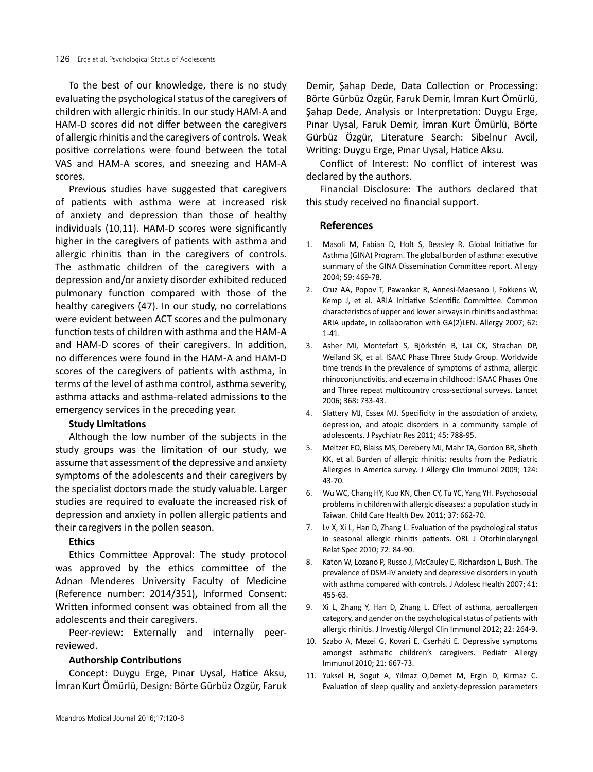To the best of our knowledge, there is no study evaluating the psychological status of the caregivers of children with allergic rhinitis. In our study HAM-A and HAM-D scores did not differ between the caregivers of allergic rhinitis and the caregivers of controls. Weak positive correlations were found between the total VAS and HAM-A scores, and sneezing and HAM-A scores.

Previous studies have suggested that caregivers of patients with asthma were at increased risk of anxiety and depression than those of healthy individuals (10,11). HAM-D scores were significantly higher in the caregivers of patients with asthma and allergic rhinitis than in the caregivers of controls. The asthmatic children of the caregivers with a depression and/or anxiety disorder exhibited reduced pulmonary function compared with those of the healthy caregivers (47). In our study, no correlations were evident between ACT scores and the pulmonary function tests of children with asthma and the HAM-A and HAM-D scores of their caregivers. In addition, no differences were found in the HAM-A and HAM-D scores of the caregivers of patients with asthma, in terms of the level of asthma control, asthma severity, asthma attacks and asthma-related admissions to the emergency services in the preceding year.

## **Study Limitations**

Although the low number of the subjects in the study groups was the limitation of our study, we assume that assessment of the depressive and anxiety symptoms of the adolescents and their caregivers by the specialist doctors made the study valuable. Larger studies are required to evaluate the increased risk of depression and anxiety in pollen allergic patients and their caregivers in the pollen season.

## **Ethics**

Ethics Committee Approval: The study protocol was approved by the ethics committee of the Adnan Menderes University Faculty of Medicine (Reference number: 2014/351), Informed Consent: Written informed consent was obtained from all the adolescents and their caregivers.

Peer-review: Externally and internally peerreviewed.

#### **Authorship Contributions**

Concept: Duygu Erge, Pınar Uysal, Hatice Aksu, İmran Kurt Ömürlü, Design: Börte Gürbüz Özgür, Faruk Demir, Şahap Dede, Data Collection or Processing: Börte Gürbüz Özgür, Faruk Demir, İmran Kurt Ömürlü, Şahap Dede, Analysis or Interpretation: Duygu Erge, Pınar Uysal, Faruk Demir, İmran Kurt Ömürlü, Börte Gürbüz Özgür, Literature Search: Sibelnur Avcil, Writing: Duygu Erge, Pınar Uysal, Hatice Aksu.

Conflict of Interest: No conflict of interest was declared by the authors.

Financial Disclosure: The authors declared that this study received no financial support.

## **References**

- 1. Masoli M, Fabian D, Holt S, Beasley R. Global Initiative for Asthma (GINA) Program. The global burden of asthma: executive summary of the GINA Dissemination Committee report. Allergy 2004; 59: 469-78.
- 2. Cruz AA, Popov T, Pawankar R, Annesi-Maesano I, Fokkens W, Kemp J, et al. ARIA Initiative Scientific Committee. Common characteristics of upper and lower airways in rhinitis and asthma: ARIA update, in collaboration with GA(2)LEN. Allergy 2007; 62: 1-41.
- 3. Asher MI, Montefort S, Björkstén B, Lai CK, Strachan DP, Weiland SK, et al. ISAAC Phase Three Study Group. Worldwide time trends in the prevalence of symptoms of asthma, allergic rhinoconjunctivitis, and eczema in childhood: ISAAC Phases One and Three repeat multicountry cross-sectional surveys. Lancet 2006; 368: 733-43.
- 4. Slattery MJ, Essex MJ. Specificity in the association of anxiety, depression, and atopic disorders in a community sample of adolescents. J Psychiatr Res 2011; 45: 788-95.
- 5. Meltzer EO, Blaiss MS, Derebery MJ, Mahr TA, Gordon BR, Sheth KK, et al. Burden of allergic rhinitis: results from the Pediatric Allergies in America survey. J Allergy Clin Immunol 2009; 124: 43-70.
- 6. Wu WC, Chang HY, Kuo KN, Chen CY, Tu YC, Yang YH. Psychosocial problems in children with allergic diseases: a population study in Taiwan. Child Care Health Dev. 2011; 37: 662-70.
- 7. Lv X, Xi L, Han D, Zhang L. Evaluation of the psychological status in seasonal allergic rhinitis patients. ORL J Otorhinolaryngol Relat Spec 2010; 72: 84-90.
- 8. Katon W, Lozano P, Russo J, McCauley E, Richardson L, Bush. The prevalence of DSM-IV anxiety and depressive disorders in youth with asthma compared with controls. J Adolesc Health 2007; 41: 455-63.
- 9. Xi L, Zhang Y, Han D, Zhang L. Effect of asthma, aeroallergen category, and gender on the psychological status of patients with allergic rhinitis. J Investig Allergol Clin Immunol 2012; 22: 264-9.
- 10. Szabo A, Mezei G, Kovari E, Cserháti E. Depressive symptoms amongst asthmatic children's caregivers. Pediatr Allergy Immunol 2010; 21: 667-73.
- 11. Yuksel H, Sogut A, Yilmaz O,Demet M, Ergin D, Kirmaz C. Evaluation of sleep quality and anxiety-depression parameters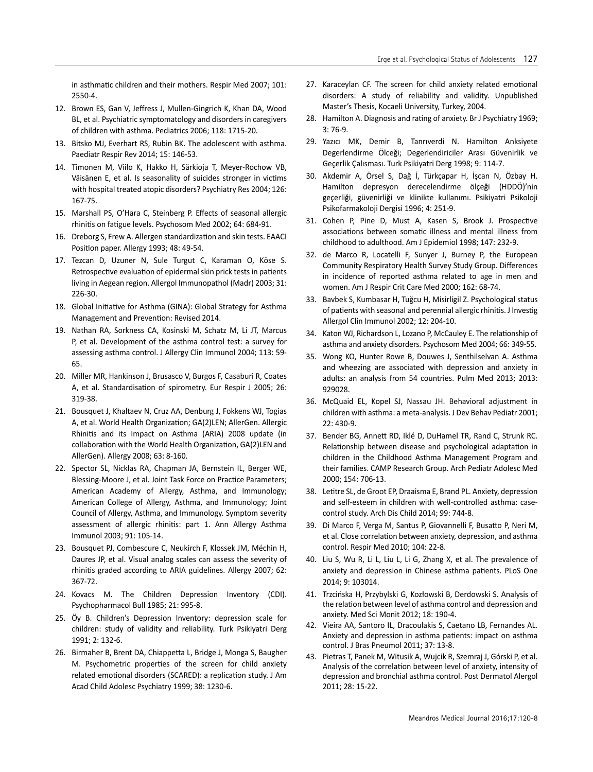in asthmatic children and their mothers. Respir Med 2007; 101: 2550-4.

- 12. Brown ES, Gan V, Jeffress J, Mullen-Gingrich K, Khan DA, Wood BL, et al. Psychiatric symptomatology and disorders in caregivers of children with asthma. Pediatrics 2006; 118: 1715-20.
- 13. Bitsko MJ, Everhart RS, Rubin BK. The adolescent with asthma. Paediatr Respir Rev 2014; 15: 146-53.
- 14. Timonen M, Viilo K, Hakko H, Särkioja T, Meyer-Rochow VB, Väisänen E, et al. Is seasonality of suicides stronger in victims with hospital treated atopic disorders? Psychiatry Res 2004; 126: 167-75.
- 15. Marshall PS, O'Hara C, Steinberg P. Effects of seasonal allergic rhinitis on fatigue levels. Psychosom Med 2002; 64: 684-91.
- 16. Dreborg S, Frew A. Allergen standardization and skin tests. EAACI Position paper. Allergy 1993; 48: 49-54.
- 17. Tezcan D, Uzuner N, Sule Turgut C, Karaman O, Köse S. Retrospective evaluation of epidermal skin prick tests in patients living in Aegean region. Allergol Immunopathol (Madr) 2003; 31: 226-30.
- 18. Global Initiative for Asthma (GINA): Global Strategy for Asthma Management and Prevention: Revised 2014.
- 19. Nathan RA, Sorkness CA, Kosinski M, Schatz M, Li JT, Marcus P, et al. Development of the asthma control test: a survey for assessing asthma control. J Allergy Clin Immunol 2004; 113: 59- 65.
- 20. Miller MR, Hankinson J, Brusasco V, Burgos F, Casaburi R, Coates A, et al. Standardisation of spirometry. Eur Respir J 2005; 26: 319-38.
- 21. Bousquet J, Khaltaev N, Cruz AA, Denburg J, Fokkens WJ, Togias A, et al. World Health Organization; GA(2)LEN; AllerGen. Allergic Rhinitis and its Impact on Asthma (ARIA) 2008 update (in collaboration with the World Health Organization, GA(2)LEN and AllerGen). Allergy 2008; 63: 8-160.
- 22. Spector SL, Nicklas RA, Chapman JA, Bernstein IL, Berger WE, Blessing-Moore J, et al. Joint Task Force on Practice Parameters; American Academy of Allergy, Asthma, and Immunology; American College of Allergy, Asthma, and Immunology; Joint Council of Allergy, Asthma, and Immunology. Symptom severity assessment of allergic rhinitis: part 1. Ann Allergy Asthma Immunol 2003; 91: 105-14.
- 23. Bousquet PJ, Combescure C, Neukirch F, Klossek JM, Méchin H, Daures JP, et al. Visual analog scales can assess the severity of rhinitis graded according to ARIA guidelines. Allergy 2007; 62: 367-72.
- 24. Kovacs M. The Children Depression Inventory (CDI). Psychopharmacol Bull 1985; 21: 995-8.
- 25. Öy B. Children's Depression Inventory: depression scale for children: study of validity and reliability. Turk Psikiyatri Derg 1991; 2: 132-6.
- 26. Birmaher B, Brent DA, Chiappetta L, Bridge J, Monga S, Baugher M. Psychometric properties of the screen for child anxiety related emotional disorders (SCARED): a replication study. J Am Acad Child Adolesc Psychiatry 1999; 38: 1230-6.
- 27. Karaceylan CF. The screen for child anxiety related emotional disorders: A study of reliability and validity. Unpublished Master's Thesis, Kocaeli University, Turkey, 2004.
- 28. Hamilton A. Diagnosis and rating of anxiety. Br J Psychiatry 1969; 3: 76-9.
- 29. Yazıcı MK, Demir B, Tanrıverdi N. Hamilton Anksiyete Degerlendirme Ölceği; Degerlendiriciler Arası Güvenirlik ve Geçerlik Çalısması. Turk Psikiyatri Derg 1998; 9: 114-7.
- 30. Akdemir A, Örsel S, Dağ İ, Türkçapar H, İşcan N, Özbay H. Hamilton depresyon derecelendirme ölçeği (HDDÖ)'nin geçerliği, güvenirliği ve klinikte kullanımı. Psikiyatri Psikoloji Psikofarmakoloji Dergisi 1996; 4: 251-9.
- 31. Cohen P, Pine D, Must A, Kasen S, Brook J. Prospective associations between somatic illness and mental illness from childhood to adulthood. Am J Epidemiol 1998; 147: 232-9.
- 32. de Marco R, Locatelli F, Sunyer J, Burney P, the European Community Respiratory Health Survey Study Group. Differences in incidence of reported asthma related to age in men and women. Am J Respir Crit Care Med 2000; 162: 68-74.
- 33. Bavbek S, Kumbasar H, Tuğcu H, Misirligil Z. Psychological status of patients with seasonal and perennial allergic rhinitis. J Investig Allergol Clin Immunol 2002; 12: 204-10.
- 34. Katon WJ, Richardson L, Lozano P, McCauley E. The relationship of asthma and anxiety disorders. Psychosom Med 2004; 66: 349-55.
- 35. Wong KO, Hunter Rowe B, Douwes J, Senthilselvan A. Asthma and wheezing are associated with depression and anxiety in adults: an analysis from 54 countries. Pulm Med 2013; 2013: 929028.
- 36. McQuaid EL, Kopel SJ, Nassau JH. Behavioral adjustment in children with asthma: a meta-analysis. J Dev Behav Pediatr 2001; 22: 430-9.
- 37. Bender BG, Annett RD, Iklé D, DuHamel TR, Rand C, Strunk RC. Relationship between disease and psychological adaptation in children in the Childhood Asthma Management Program and their families. CAMP Research Group. Arch Pediatr Adolesc Med 2000; 154: 706-13.
- 38. Letitre SL, de Groot EP, Draaisma E, Brand PL. Anxiety, depression and self-esteem in children with well-controlled asthma: casecontrol study. Arch Dis Child 2014; 99: 744-8.
- 39. Di Marco F, Verga M, Santus P, Giovannelli F, Busatto P, Neri M, et al. Close correlation between anxiety, depression, and asthma control. Respir Med 2010; 104: 22-8.
- 40. Liu S, Wu R, Li L, Liu L, Li G, Zhang X, et al. The prevalence of anxiety and depression in Chinese asthma patients. PLoS One 2014; 9: 103014.
- 41. Trzcińska H, Przybylski G, Kozłowski B, Derdowski S. Analysis of the relation between level of asthma control and depression and anxiety. Med Sci Monit 2012; 18: 190-4.
- 42. Vieira AA, Santoro IL, Dracoulakis S, Caetano LB, Fernandes AL. Anxiety and depression in asthma patients: impact on asthma control. J Bras Pneumol 2011; 37: 13-8.
- 43. Pietras T, Panek M, Witusik A, Wujcik R, Szemraj J, Górski P, et al. Analysis of the correlation between level of anxiety, intensity of depression and bronchial asthma control. Post Dermatol Alergol 2011; 28: 15-22.